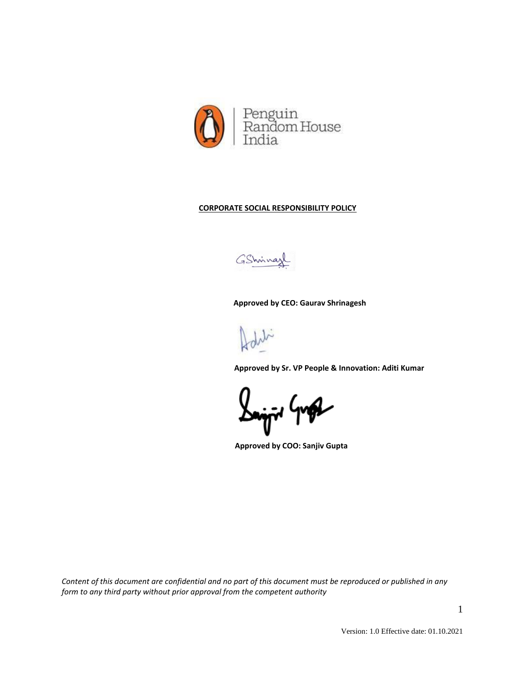

# **CORPORATE SOCIAL RESPONSIBILITY POLICY**

GShrina

 **Approved by CEO: Gaurav Shrinagesh**

 **Approved by Sr. VP People & Innovation: Aditi Kumar** 

 **Approved by COO: Sanjiv Gupta**

*Content of this document are confidential and no part of this document must be reproduced or published in any form to any third party without prior approval from the competent authority*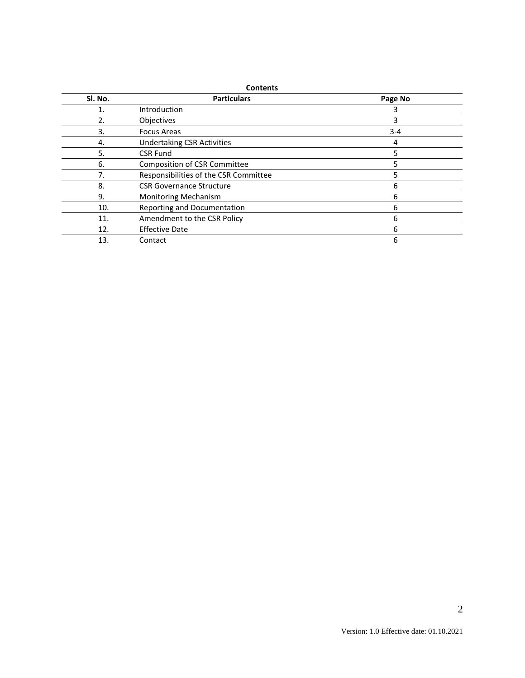| SI. No. | <b>Particulars</b>                     | Page No |
|---------|----------------------------------------|---------|
|         | Introduction                           |         |
| 2.      | Objectives                             | 3       |
| 3.      | <b>Focus Areas</b><br>$3 - 4$          |         |
| 4.      | <b>Undertaking CSR Activities</b><br>4 |         |
| 5.      | <b>CSR Fund</b><br>5                   |         |
| 6.      | <b>Composition of CSR Committee</b>    |         |
| 7.      | Responsibilities of the CSR Committee  |         |
| 8.      | <b>CSR Governance Structure</b><br>6   |         |
| 9.      | <b>Monitoring Mechanism</b><br>6       |         |
| 10.     | Reporting and Documentation<br>6       |         |
| 11.     | Amendment to the CSR Policy<br>6       |         |
| 12.     | <b>Effective Date</b>                  | 6       |
| 13.     | Contact                                | 6       |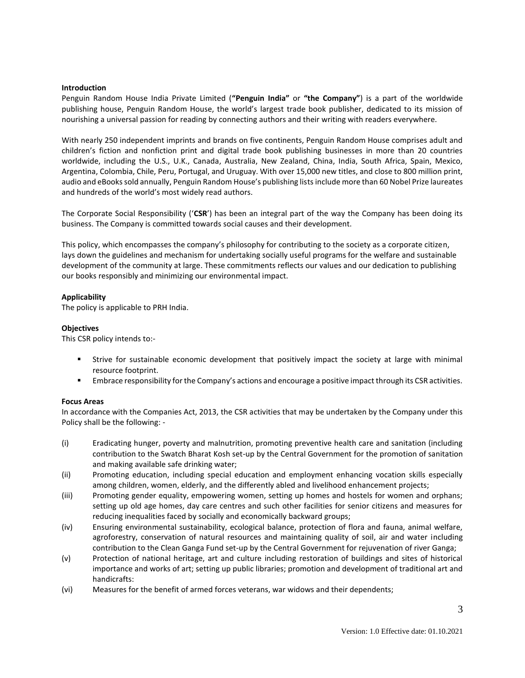### **Introduction**

Penguin Random House India Private Limited (**"Penguin India"** or **"the Company"**) is a part of the worldwide publishing house, Penguin Random House, the world's largest trade book publisher, dedicated to its mission of nourishing a universal passion for reading by connecting authors and their writing with readers everywhere.

With nearly 250 independent imprints and brands on five continents, Penguin Random House comprises adult and children's fiction and nonfiction print and digital trade book publishing businesses in more than 20 countries worldwide, including the U.S., U.K., Canada, Australia, New Zealand, China, India, South Africa, Spain, Mexico, Argentina, Colombia, Chile, Peru, Portugal, and Uruguay. With over 15,000 new titles, and close to 800 million print, audio and eBooks sold annually, Penguin Random House's publishing lists include more than 60 Nobel Prize laureates and hundreds of the world's most widely read authors.

The Corporate Social Responsibility ('**CSR**') has been an integral part of the way the Company has been doing its business. The Company is committed towards social causes and their development.

This policy, which encompasses the company's philosophy for contributing to the society as a corporate citizen, lays down the guidelines and mechanism for undertaking socially useful programs for the welfare and sustainable development of the community at large. These commitments reflects our values and our dedication to publishing our books responsibly and minimizing our environmental impact.

## **Applicability**

The policy is applicable to PRH India.

### **Objectives**

This CSR policy intends to:-

- Strive for sustainable economic development that positively impact the society at large with minimal resource footprint.
- **Embrace responsibility for the Company's actions and encourage a positive impact through its CSR activities.**

### **Focus Areas**

In accordance with the Companies Act, 2013, the CSR activities that may be undertaken by the Company under this Policy shall be the following: -

- (i) Eradicating hunger, poverty and malnutrition, promoting preventive health care and sanitation (including contribution to the Swatch Bharat Kosh set-up by the Central Government for the promotion of sanitation and making available safe drinking water;
- (ii) Promoting education, including special education and employment enhancing vocation skills especially among children, women, elderly, and the differently abled and livelihood enhancement projects;
- (iii) Promoting gender equality, empowering women, setting up homes and hostels for women and orphans; setting up old age homes, day care centres and such other facilities for senior citizens and measures for reducing inequalities faced by socially and economically backward groups;
- (iv) Ensuring environmental sustainability, ecological balance, protection of flora and fauna, animal welfare, agroforestry, conservation of natural resources and maintaining quality of soil, air and water including contribution to the Clean Ganga Fund set-up by the Central Government for rejuvenation of river Ganga;
- (v) Protection of national heritage, art and culture including restoration of buildings and sites of historical importance and works of art; setting up public libraries; promotion and development of traditional art and handicrafts:
- (vi) Measures for the benefit of armed forces veterans, war widows and their dependents;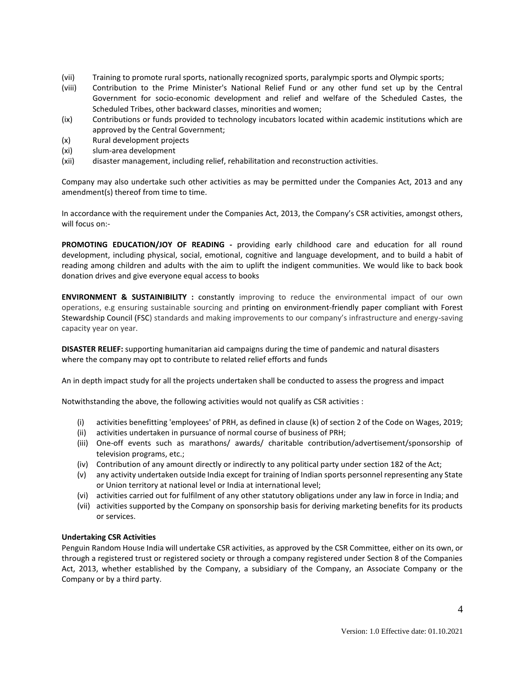- (vii) Training to promote rural sports, nationally recognized sports, paralympic sports and Olympic sports;
- (viii) Contribution to the Prime Minister's National Relief Fund or any other fund set up by the Central Government for socio-economic development and relief and welfare of the Scheduled Castes, the Scheduled Tribes, other backward classes, minorities and women;
- (ix) Contributions or funds provided to technology incubators located within academic institutions which are approved by the Central Government;
- (x) Rural development projects
- (xi) slum-area development
- (xii) disaster management, including relief, rehabilitation and reconstruction activities.

Company may also undertake such other activities as may be permitted under the Companies Act, 2013 and any amendment(s) thereof from time to time.

In accordance with the requirement under the Companies Act, 2013, the Company's CSR activities, amongst others, will focus on:-

**PROMOTING EDUCATION/JOY OF READING -** providing early childhood care and education for all round development, including physical, social, emotional, cognitive and language development, and to build a habit of reading among children and adults with the aim to uplift the indigent communities. We would like to back book donation drives and give everyone equal access to books

**ENVIRONMENT & SUSTAINIBILITY :** constantly improving to reduce the environmental impact of our own operations, e.g ensuring sustainable sourcing and printing on environment-friendly paper compliant with Forest Stewardship Council (FSC) standards and making improvements to our company's infrastructure and energy-saving capacity year on year.

**DISASTER RELIEF:** supporting humanitarian aid campaigns during the time of pandemic and natural disasters where the company may opt to contribute to related relief efforts and funds

An in depth impact study for all the projects undertaken shall be conducted to assess the progress and impact

Notwithstanding the above, the following activities would not qualify as CSR activities :

- (i) activities benefitting 'employees' of PRH, as defined in clause (k) of section 2 of the Code on Wages, 2019;
- (ii) activities undertaken in pursuance of normal course of business of PRH;
- (iii) One-off events such as marathons/ awards/ charitable contribution/advertisement/sponsorship of television programs, etc.;
- (iv) Contribution of any amount directly or indirectly to any political party under section 182 of the Act;
- (v) any activity undertaken outside India except for training of Indian sports personnel representing any State or Union territory at national level or India at international level;
- (vi) activities carried out for fulfilment of any other statutory obligations under any law in force in India; and
- (vii) activities supported by the Company on sponsorship basis for deriving marketing benefits for its products or services.

# **Undertaking CSR Activities**

Penguin Random House India will undertake CSR activities, as approved by the CSR Committee, either on its own, or through a registered trust or registered society or through a company registered under Section 8 of the Companies Act, 2013, whether established by the Company, a subsidiary of the Company, an Associate Company or the Company or by a third party.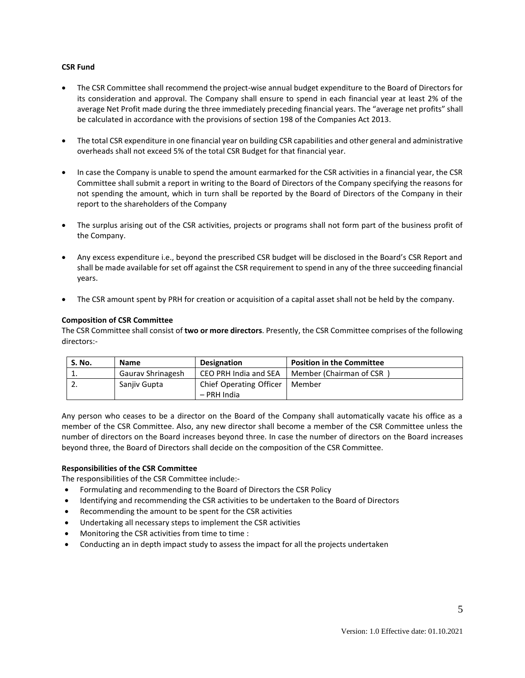## **CSR Fund**

- The CSR Committee shall recommend the project-wise annual budget expenditure to the Board of Directors for its consideration and approval. The Company shall ensure to spend in each financial year at least 2% of the average Net Profit made during the three immediately preceding financial years. The "average net profits" shall be calculated in accordance with the provisions of section 198 of the Companies Act 2013.
- The total CSR expenditure in one financial year on building CSR capabilities and other general and administrative overheads shall not exceed 5% of the total CSR Budget for that financial year.
- In case the Company is unable to spend the amount earmarked for the CSR activities in a financial year, the CSR Committee shall submit a report in writing to the Board of Directors of the Company specifying the reasons for not spending the amount, which in turn shall be reported by the Board of Directors of the Company in their report to the shareholders of the Company
- The surplus arising out of the CSR activities, projects or programs shall not form part of the business profit of the Company.
- Any excess expenditure i.e., beyond the prescribed CSR budget will be disclosed in the Board's CSR Report and shall be made available for set off against the CSR requirement to spend in any of the three succeeding financial years.
- The CSR amount spent by PRH for creation or acquisition of a capital asset shall not be held by the company.

## **Composition of CSR Committee**

The CSR Committee shall consist of **two or more directors**. Presently, the CSR Committee comprises of the following directors:-

| S. No. | <b>Name</b>       | <b>Designation</b>                     | <b>Position in the Committee</b> |
|--------|-------------------|----------------------------------------|----------------------------------|
| . .    | Gaurav Shrinagesh | CEO PRH India and SEA                  | Member (Chairman of CSR          |
|        | Sanjiy Gupta      | Chief Operating Officer<br>– PRH India | Member                           |

Any person who ceases to be a director on the Board of the Company shall automatically vacate his office as a member of the CSR Committee. Also, any new director shall become a member of the CSR Committee unless the number of directors on the Board increases beyond three. In case the number of directors on the Board increases beyond three, the Board of Directors shall decide on the composition of the CSR Committee.

# **Responsibilities of the CSR Committee**

The responsibilities of the CSR Committee include:-

- Formulating and recommending to the Board of Directors the CSR Policy
- Identifying and recommending the CSR activities to be undertaken to the Board of Directors
- Recommending the amount to be spent for the CSR activities
- Undertaking all necessary steps to implement the CSR activities
- Monitoring the CSR activities from time to time :
- Conducting an in depth impact study to assess the impact for all the projects undertaken